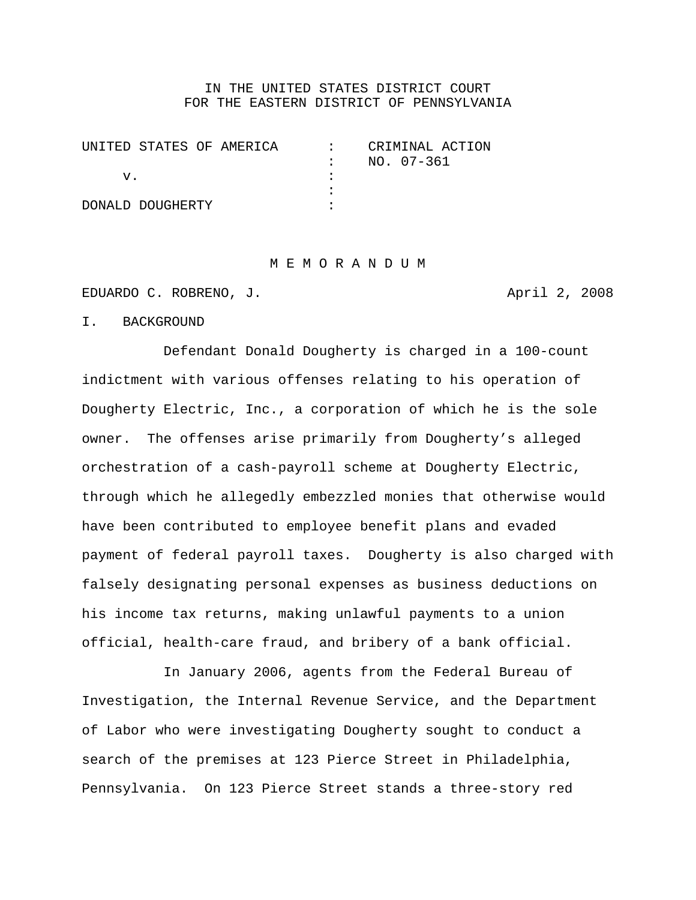### IN THE UNITED STATES DISTRICT COURT FOR THE EASTERN DISTRICT OF PENNSYLVANIA

| UNITED STATES OF AMERICA | CRIMINAL ACTION |  |
|--------------------------|-----------------|--|
|                          | NO. 07-361      |  |
| V.                       |                 |  |
|                          |                 |  |
| DONALD DOUGHERTY         |                 |  |

#### M E M O R A N D U M

EDUARDO C. ROBRENO, J. April 2, 2008

I. BACKGROUND

Defendant Donald Dougherty is charged in a 100-count indictment with various offenses relating to his operation of Dougherty Electric, Inc., a corporation of which he is the sole owner. The offenses arise primarily from Dougherty's alleged orchestration of a cash-payroll scheme at Dougherty Electric, through which he allegedly embezzled monies that otherwise would have been contributed to employee benefit plans and evaded payment of federal payroll taxes. Dougherty is also charged with falsely designating personal expenses as business deductions on his income tax returns, making unlawful payments to a union official, health-care fraud, and bribery of a bank official.

In January 2006, agents from the Federal Bureau of Investigation, the Internal Revenue Service, and the Department of Labor who were investigating Dougherty sought to conduct a search of the premises at 123 Pierce Street in Philadelphia, Pennsylvania. On 123 Pierce Street stands a three-story red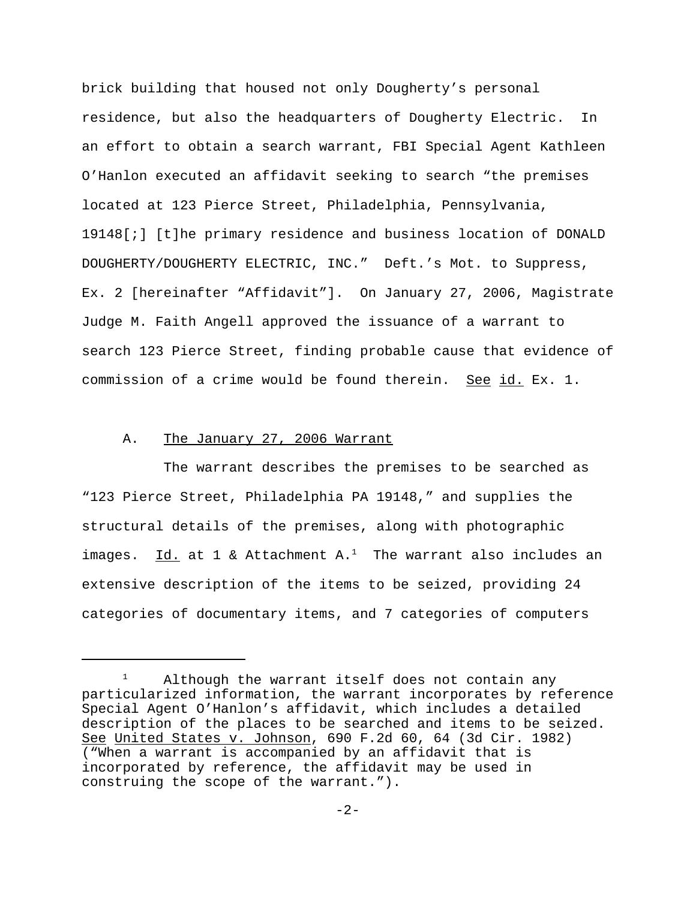brick building that housed not only Dougherty's personal residence, but also the headquarters of Dougherty Electric. In an effort to obtain a search warrant, FBI Special Agent Kathleen O'Hanlon executed an affidavit seeking to search "the premises located at 123 Pierce Street, Philadelphia, Pennsylvania, 19148[;] [t]he primary residence and business location of DONALD DOUGHERTY/DOUGHERTY ELECTRIC, INC." Deft.'s Mot. to Suppress, Ex. 2 [hereinafter "Affidavit"]. On January 27, 2006, Magistrate Judge M. Faith Angell approved the issuance of a warrant to search 123 Pierce Street, finding probable cause that evidence of commission of a crime would be found therein. See id. Ex. 1.

# A. The January 27, 2006 Warrant

The warrant describes the premises to be searched as "123 Pierce Street, Philadelphia PA 19148," and supplies the structural details of the premises, along with photographic images.  $Id.$  at 1 & Attachment A.<sup>1</sup> The warrant also includes an extensive description of the items to be seized, providing 24 categories of documentary items, and 7 categories of computers

Although the warrant itself does not contain any particularized information, the warrant incorporates by reference Special Agent O'Hanlon's affidavit, which includes a detailed description of the places to be searched and items to be seized. See United States v. Johnson, 690 F.2d 60, 64 (3d Cir. 1982) ("When a warrant is accompanied by an affidavit that is incorporated by reference, the affidavit may be used in construing the scope of the warrant.").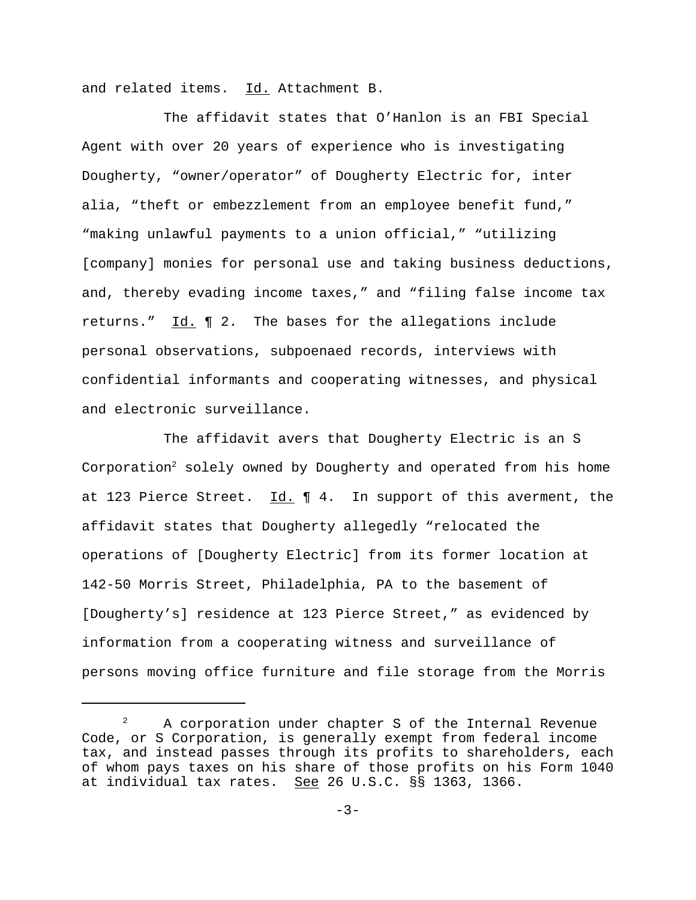and related items. Id. Attachment B.

The affidavit states that O'Hanlon is an FBI Special Agent with over 20 years of experience who is investigating Dougherty, "owner/operator" of Dougherty Electric for, inter alia, "theft or embezzlement from an employee benefit fund," "making unlawful payments to a union official," "utilizing [company] monies for personal use and taking business deductions, and, thereby evading income taxes," and "filing false income tax returns." Id. ¶ 2. The bases for the allegations include personal observations, subpoenaed records, interviews with confidential informants and cooperating witnesses, and physical and electronic surveillance.

The affidavit avers that Dougherty Electric is an S Corporation<sup>2</sup> solely owned by Dougherty and operated from his home at 123 Pierce Street.  $Id. \P 4.$  In support of this averment, the affidavit states that Dougherty allegedly "relocated the operations of [Dougherty Electric] from its former location at 142-50 Morris Street, Philadelphia, PA to the basement of [Dougherty's] residence at 123 Pierce Street," as evidenced by information from a cooperating witness and surveillance of persons moving office furniture and file storage from the Morris

<sup>&</sup>lt;sup>2</sup> A corporation under chapter S of the Internal Revenue Code, or S Corporation, is generally exempt from federal income tax, and instead passes through its profits to shareholders, each of whom pays taxes on his share of those profits on his Form 1040 at individual tax rates. See 26 U.S.C. §§ 1363, 1366.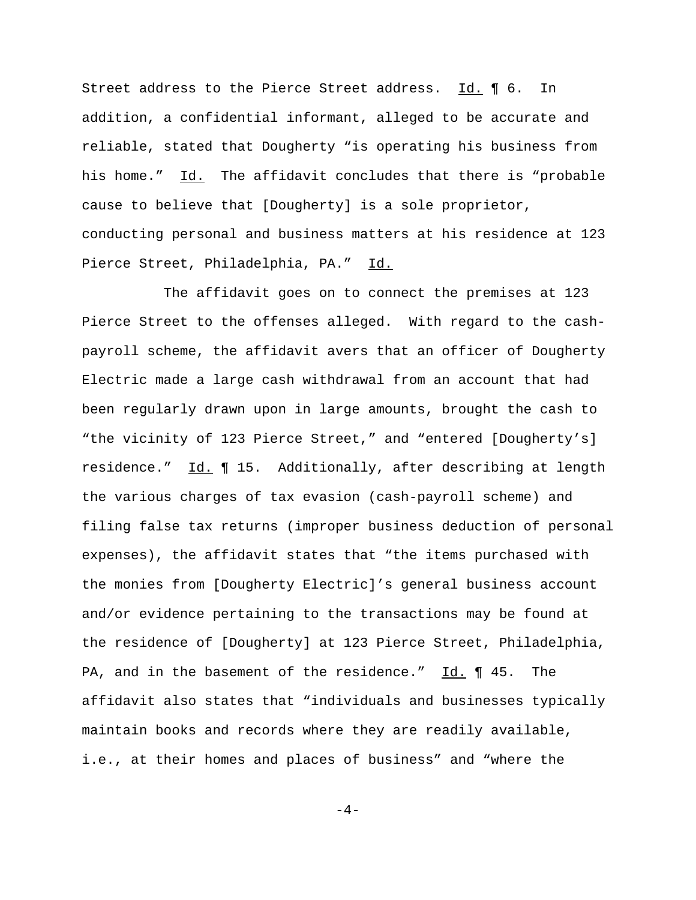Street address to the Pierce Street address. Id. ¶ 6. In addition, a confidential informant, alleged to be accurate and reliable, stated that Dougherty "is operating his business from his home." Id. The affidavit concludes that there is "probable cause to believe that [Dougherty] is a sole proprietor, conducting personal and business matters at his residence at 123 Pierce Street, Philadelphia, PA." Id.

The affidavit goes on to connect the premises at 123 Pierce Street to the offenses alleged. With regard to the cashpayroll scheme, the affidavit avers that an officer of Dougherty Electric made a large cash withdrawal from an account that had been regularly drawn upon in large amounts, brought the cash to "the vicinity of 123 Pierce Street," and "entered [Dougherty's] residence." Id. ¶ 15. Additionally, after describing at length the various charges of tax evasion (cash-payroll scheme) and filing false tax returns (improper business deduction of personal expenses), the affidavit states that "the items purchased with the monies from [Dougherty Electric]'s general business account and/or evidence pertaining to the transactions may be found at the residence of [Dougherty] at 123 Pierce Street, Philadelphia, PA, and in the basement of the residence." Id. ¶ 45. The affidavit also states that "individuals and businesses typically maintain books and records where they are readily available, i.e., at their homes and places of business" and "where the

 $-4-$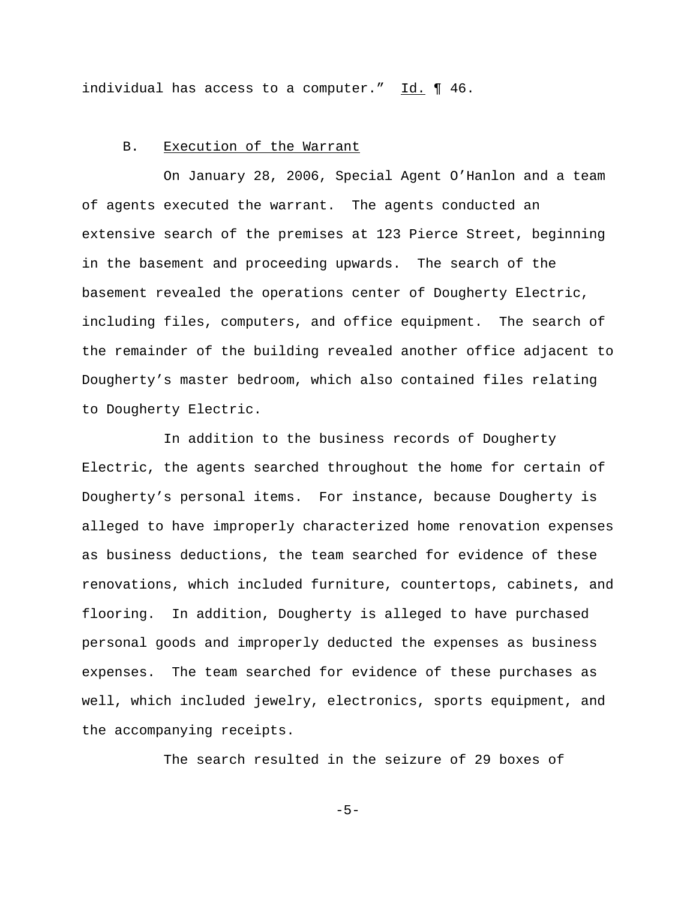individual has access to a computer." Id. ¶ 46.

#### B. Execution of the Warrant

On January 28, 2006, Special Agent O'Hanlon and a team of agents executed the warrant. The agents conducted an extensive search of the premises at 123 Pierce Street, beginning in the basement and proceeding upwards. The search of the basement revealed the operations center of Dougherty Electric, including files, computers, and office equipment. The search of the remainder of the building revealed another office adjacent to Dougherty's master bedroom, which also contained files relating to Dougherty Electric.

In addition to the business records of Dougherty Electric, the agents searched throughout the home for certain of Dougherty's personal items. For instance, because Dougherty is alleged to have improperly characterized home renovation expenses as business deductions, the team searched for evidence of these renovations, which included furniture, countertops, cabinets, and flooring. In addition, Dougherty is alleged to have purchased personal goods and improperly deducted the expenses as business expenses. The team searched for evidence of these purchases as well, which included jewelry, electronics, sports equipment, and the accompanying receipts.

The search resulted in the seizure of 29 boxes of

 $-5-$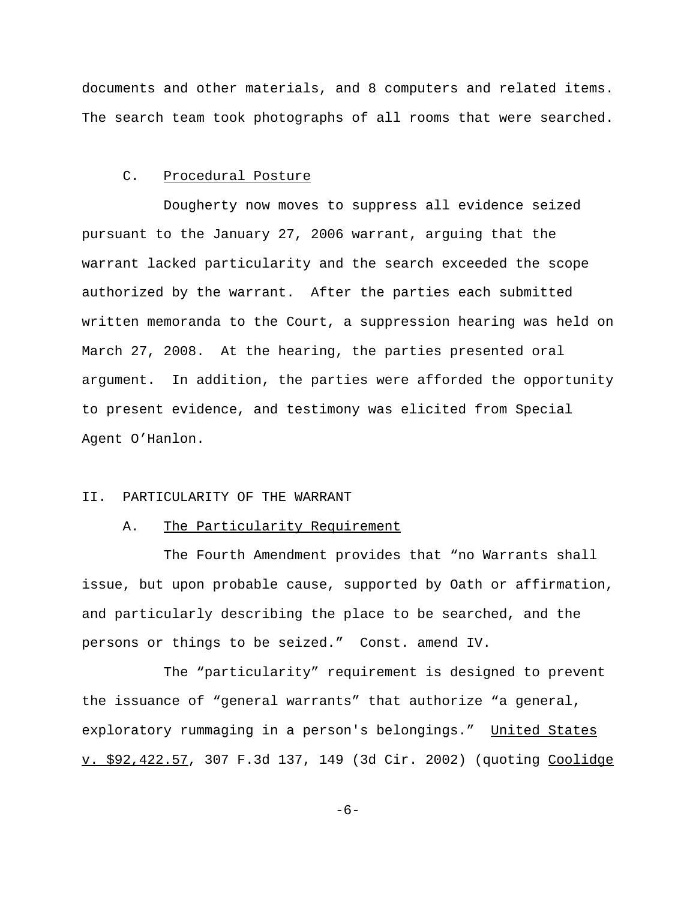documents and other materials, and 8 computers and related items. The search team took photographs of all rooms that were searched.

#### C. Procedural Posture

Dougherty now moves to suppress all evidence seized pursuant to the January 27, 2006 warrant, arguing that the warrant lacked particularity and the search exceeded the scope authorized by the warrant. After the parties each submitted written memoranda to the Court, a suppression hearing was held on March 27, 2008. At the hearing, the parties presented oral argument. In addition, the parties were afforded the opportunity to present evidence, and testimony was elicited from Special Agent O'Hanlon.

## II. PARTICULARITY OF THE WARRANT

### A. The Particularity Requirement

The Fourth Amendment provides that "no Warrants shall issue, but upon probable cause, supported by Oath or affirmation, and particularly describing the place to be searched, and the persons or things to be seized." Const. amend IV.

The "particularity" requirement is designed to prevent the issuance of "general warrants" that authorize "a general, exploratory rummaging in a person's belongings." United States v. \$92,422.57, 307 F.3d 137, 149 (3d Cir. 2002) (quoting Coolidge

-6-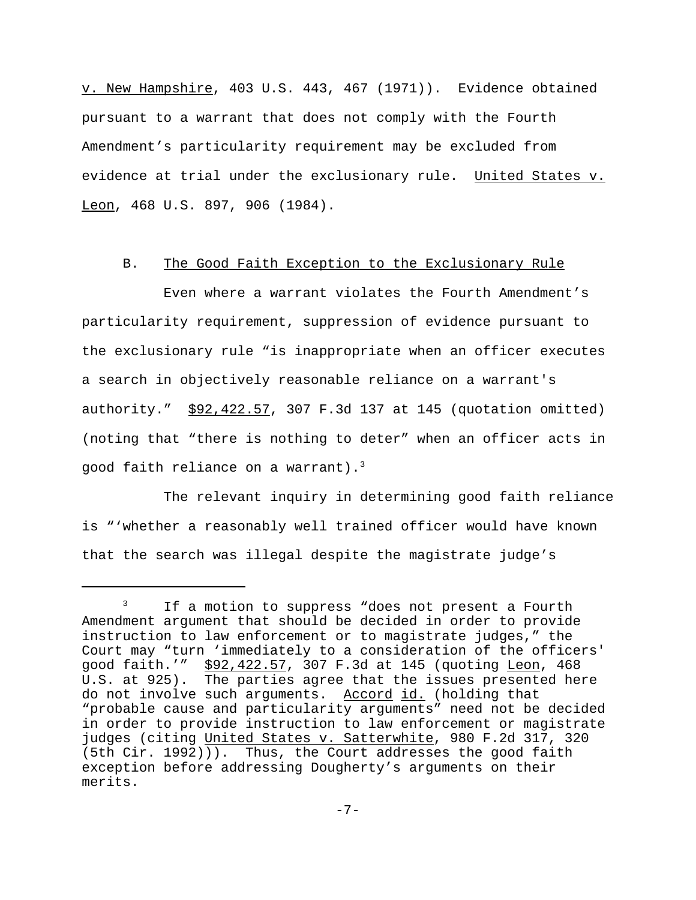v. New Hampshire, 403 U.S. 443, 467 (1971)). Evidence obtained pursuant to a warrant that does not comply with the Fourth Amendment's particularity requirement may be excluded from evidence at trial under the exclusionary rule. United States v. Leon, 468 U.S. 897, 906 (1984).

#### B. The Good Faith Exception to the Exclusionary Rule

Even where a warrant violates the Fourth Amendment's particularity requirement, suppression of evidence pursuant to the exclusionary rule "is inappropriate when an officer executes a search in objectively reasonable reliance on a warrant's authority." \$92,422.57, 307 F.3d 137 at 145 (quotation omitted) (noting that "there is nothing to deter" when an officer acts in good faith reliance on a warrant).3

The relevant inquiry in determining good faith reliance is "'whether a reasonably well trained officer would have known that the search was illegal despite the magistrate judge's

<sup>&</sup>lt;sup>3</sup> If a motion to suppress "does not present a Fourth Amendment argument that should be decided in order to provide instruction to law enforcement or to magistrate judges," the Court may "turn 'immediately to a consideration of the officers' good faith.'" \$92,422.57, 307 F.3d at 145 (quoting Leon, 468 U.S. at 925). The parties agree that the issues presented here do not involve such arguments. Accord id. (holding that "probable cause and particularity arguments" need not be decided in order to provide instruction to law enforcement or magistrate judges (citing United States v. Satterwhite, 980 F.2d 317, 320 (5th Cir. 1992))). Thus, the Court addresses the good faith exception before addressing Dougherty's arguments on their merits.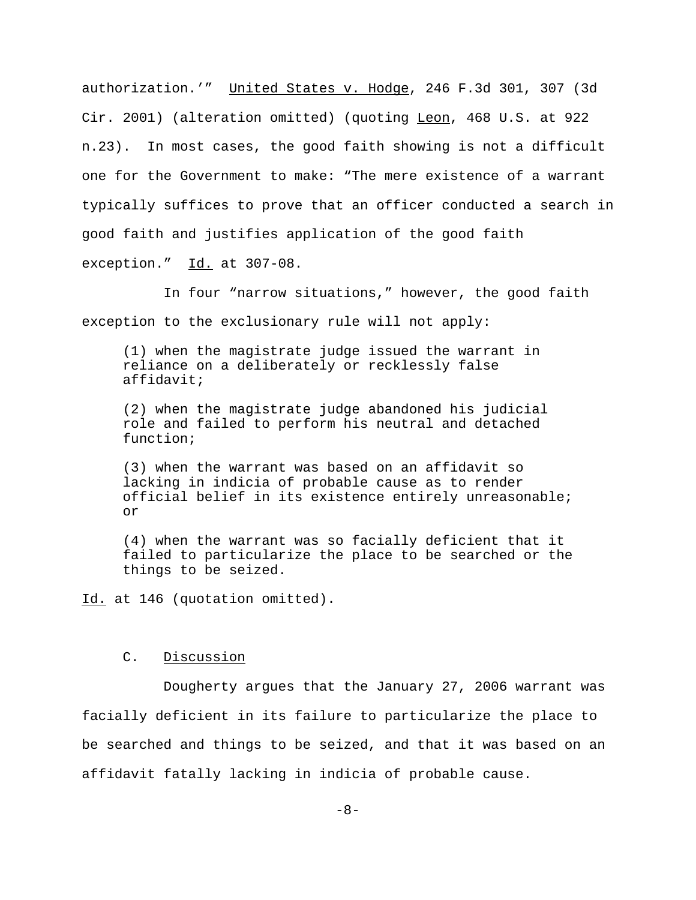authorization.'" United States v. Hodge, 246 F.3d 301, 307 (3d Cir. 2001) (alteration omitted) (quoting Leon, 468 U.S. at 922 n.23). In most cases, the good faith showing is not a difficult one for the Government to make: "The mere existence of a warrant typically suffices to prove that an officer conducted a search in good faith and justifies application of the good faith exception." Id. at 307-08.

In four "narrow situations," however, the good faith exception to the exclusionary rule will not apply:

(1) when the magistrate judge issued the warrant in reliance on a deliberately or recklessly false affidavit;

(2) when the magistrate judge abandoned his judicial role and failed to perform his neutral and detached function;

(3) when the warrant was based on an affidavit so lacking in indicia of probable cause as to render official belief in its existence entirely unreasonable; or

(4) when the warrant was so facially deficient that it failed to particularize the place to be searched or the things to be seized.

Id. at 146 (quotation omitted).

### C. Discussion

Dougherty argues that the January 27, 2006 warrant was facially deficient in its failure to particularize the place to be searched and things to be seized, and that it was based on an affidavit fatally lacking in indicia of probable cause.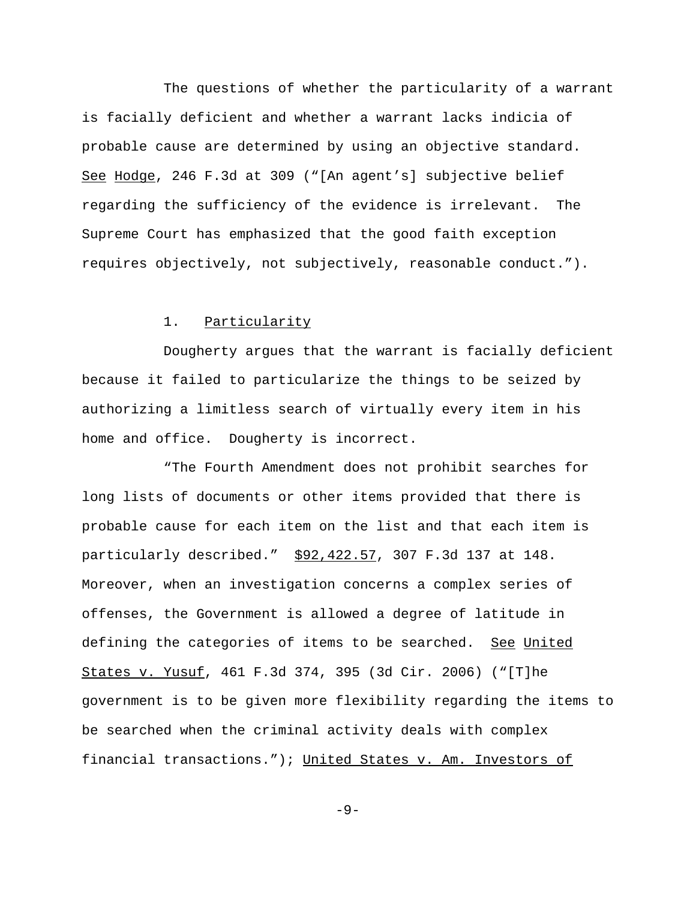The questions of whether the particularity of a warrant is facially deficient and whether a warrant lacks indicia of probable cause are determined by using an objective standard. See Hodge, 246 F.3d at 309 ("[An agent's] subjective belief regarding the sufficiency of the evidence is irrelevant. The Supreme Court has emphasized that the good faith exception requires objectively, not subjectively, reasonable conduct.").

# 1. Particularity

Dougherty argues that the warrant is facially deficient because it failed to particularize the things to be seized by authorizing a limitless search of virtually every item in his home and office. Dougherty is incorrect.

"The Fourth Amendment does not prohibit searches for long lists of documents or other items provided that there is probable cause for each item on the list and that each item is particularly described." \$92,422.57, 307 F.3d 137 at 148. Moreover, when an investigation concerns a complex series of offenses, the Government is allowed a degree of latitude in defining the categories of items to be searched. See United States v. Yusuf, 461 F.3d 374, 395 (3d Cir. 2006) ("[T]he government is to be given more flexibility regarding the items to be searched when the criminal activity deals with complex financial transactions."); United States v. Am. Investors of

-9-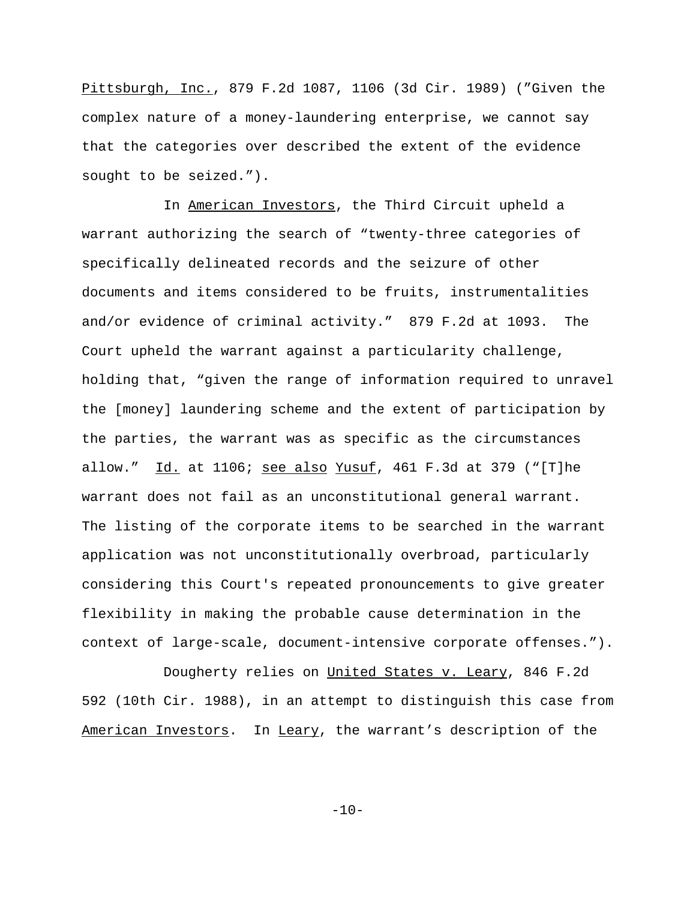Pittsburgh, Inc., 879 F.2d 1087, 1106 (3d Cir. 1989) ("Given the complex nature of a money-laundering enterprise, we cannot say that the categories over described the extent of the evidence sought to be seized.").

In American Investors, the Third Circuit upheld a warrant authorizing the search of "twenty-three categories of specifically delineated records and the seizure of other documents and items considered to be fruits, instrumentalities and/or evidence of criminal activity." 879 F.2d at 1093. The Court upheld the warrant against a particularity challenge, holding that, "given the range of information required to unravel the [money] laundering scheme and the extent of participation by the parties, the warrant was as specific as the circumstances allow." Id. at  $1106$ ; see also Yusuf, 461 F.3d at 379 ("[T]he warrant does not fail as an unconstitutional general warrant. The listing of the corporate items to be searched in the warrant application was not unconstitutionally overbroad, particularly considering this Court's repeated pronouncements to give greater flexibility in making the probable cause determination in the context of large-scale, document-intensive corporate offenses.").

Dougherty relies on United States v. Leary, 846 F.2d 592 (10th Cir. 1988), in an attempt to distinguish this case from American Investors. In Leary, the warrant's description of the

 $-10-$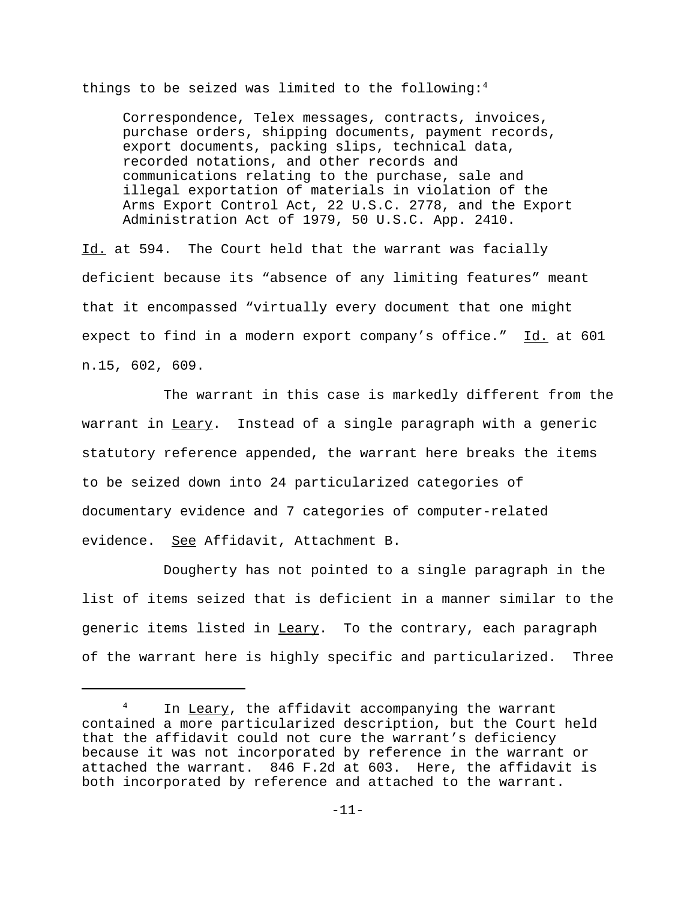things to be seized was limited to the following:<sup>4</sup>

Correspondence, Telex messages, contracts, invoices, purchase orders, shipping documents, payment records, export documents, packing slips, technical data, recorded notations, and other records and communications relating to the purchase, sale and illegal exportation of materials in violation of the Arms Export Control Act, 22 U.S.C. 2778, and the Export Administration Act of 1979, 50 U.S.C. App. 2410.

Id. at 594. The Court held that the warrant was facially deficient because its "absence of any limiting features" meant that it encompassed "virtually every document that one might expect to find in a modern export company's office." Id. at 601 n.15, 602, 609.

The warrant in this case is markedly different from the warrant in Leary. Instead of a single paragraph with a generic statutory reference appended, the warrant here breaks the items to be seized down into 24 particularized categories of documentary evidence and 7 categories of computer-related evidence. See Affidavit, Attachment B.

Dougherty has not pointed to a single paragraph in the list of items seized that is deficient in a manner similar to the generic items listed in Leary. To the contrary, each paragraph of the warrant here is highly specific and particularized. Three

In Leary, the affidavit accompanying the warrant contained a more particularized description, but the Court held that the affidavit could not cure the warrant's deficiency because it was not incorporated by reference in the warrant or attached the warrant. 846 F.2d at 603. Here, the affidavit is both incorporated by reference and attached to the warrant.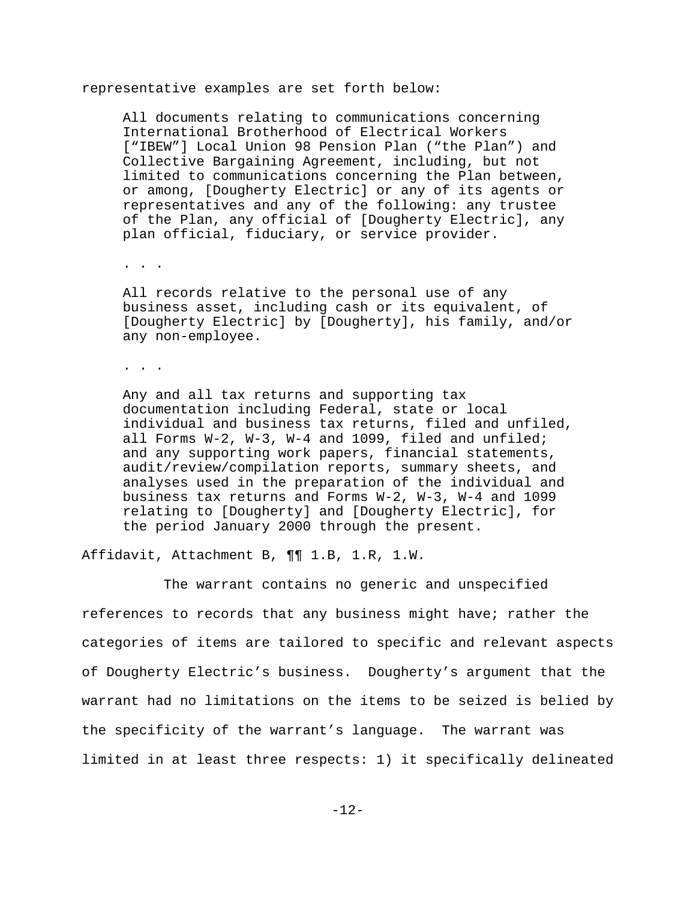representative examples are set forth below:

All documents relating to communications concerning International Brotherhood of Electrical Workers ["IBEW"] Local Union 98 Pension Plan ("the Plan") and Collective Bargaining Agreement, including, but not limited to communications concerning the Plan between, or among, [Dougherty Electric] or any of its agents or representatives and any of the following: any trustee of the Plan, any official of [Dougherty Electric], any plan official, fiduciary, or service provider.

. . .

All records relative to the personal use of any business asset, including cash or its equivalent, of [Dougherty Electric] by [Dougherty], his family, and/or any non-employee.

. . .

Any and all tax returns and supporting tax documentation including Federal, state or local individual and business tax returns, filed and unfiled, all Forms W-2, W-3, W-4 and 1099, filed and unfiled; and any supporting work papers, financial statements, audit/review/compilation reports, summary sheets, and analyses used in the preparation of the individual and business tax returns and Forms W-2, W-3, W-4 and 1099 relating to [Dougherty] and [Dougherty Electric], for the period January 2000 through the present.

Affidavit, Attachment B, ¶¶ 1.B, 1.R, 1.W.

The warrant contains no generic and unspecified references to records that any business might have; rather the categories of items are tailored to specific and relevant aspects of Dougherty Electric's business. Dougherty's argument that the warrant had no limitations on the items to be seized is belied by the specificity of the warrant's language. The warrant was limited in at least three respects: 1) it specifically delineated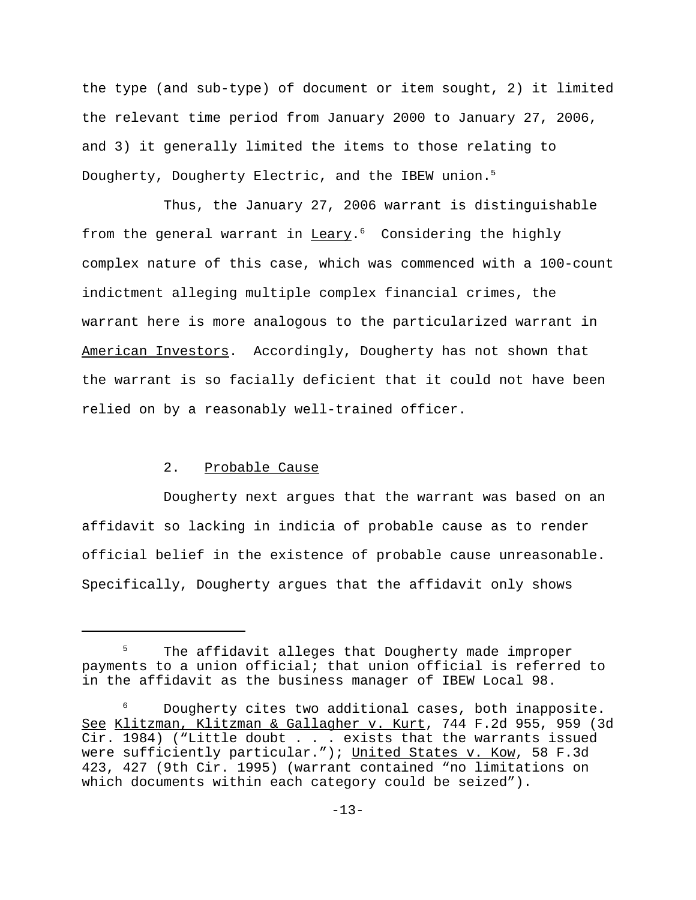the type (and sub-type) of document or item sought, 2) it limited the relevant time period from January 2000 to January 27, 2006, and 3) it generally limited the items to those relating to Dougherty, Dougherty Electric, and the IBEW union.<sup>5</sup>

Thus, the January 27, 2006 warrant is distinguishable from the general warrant in  $Leary$ .<sup>6</sup> Considering the highly</u> complex nature of this case, which was commenced with a 100-count indictment alleging multiple complex financial crimes, the warrant here is more analogous to the particularized warrant in American Investors. Accordingly, Dougherty has not shown that the warrant is so facially deficient that it could not have been relied on by a reasonably well-trained officer.

## 2. Probable Cause

Dougherty next argues that the warrant was based on an affidavit so lacking in indicia of probable cause as to render official belief in the existence of probable cause unreasonable. Specifically, Dougherty argues that the affidavit only shows

The affidavit alleges that Dougherty made improper payments to a union official; that union official is referred to in the affidavit as the business manager of IBEW Local 98.

<sup>6</sup> Dougherty cites two additional cases, both inapposite. See Klitzman, Klitzman & Gallagher v. Kurt, 744 F.2d 955, 959 (3d Cir. 1984) ("Little doubt . . . exists that the warrants issued were sufficiently particular."); United States v. Kow, 58 F.3d 423, 427 (9th Cir. 1995) (warrant contained "no limitations on which documents within each category could be seized").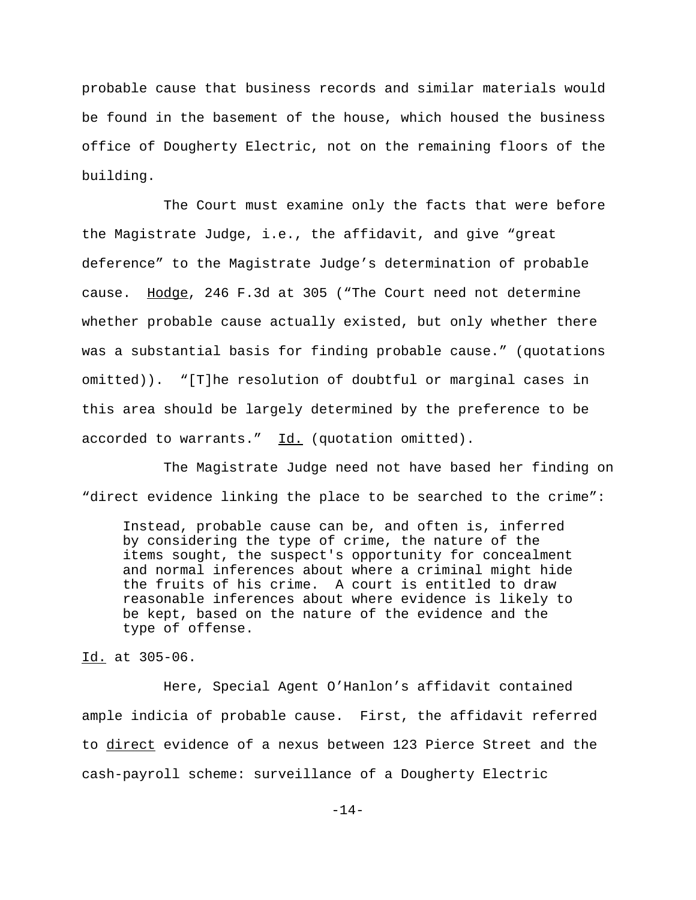probable cause that business records and similar materials would be found in the basement of the house, which housed the business office of Dougherty Electric, not on the remaining floors of the building.

The Court must examine only the facts that were before the Magistrate Judge, i.e., the affidavit, and give "great deference" to the Magistrate Judge's determination of probable cause. Hodge, 246 F.3d at 305 ("The Court need not determine whether probable cause actually existed, but only whether there was a substantial basis for finding probable cause." (quotations omitted)). "[T]he resolution of doubtful or marginal cases in this area should be largely determined by the preference to be accorded to warrants."  $\underline{Id.}$  (quotation omitted).

The Magistrate Judge need not have based her finding on "direct evidence linking the place to be searched to the crime":

Instead, probable cause can be, and often is, inferred by considering the type of crime, the nature of the items sought, the suspect's opportunity for concealment and normal inferences about where a criminal might hide the fruits of his crime. A court is entitled to draw reasonable inferences about where evidence is likely to be kept, based on the nature of the evidence and the type of offense.

Id. at 305-06.

Here, Special Agent O'Hanlon's affidavit contained ample indicia of probable cause. First, the affidavit referred to direct evidence of a nexus between 123 Pierce Street and the cash-payroll scheme: surveillance of a Dougherty Electric

-14-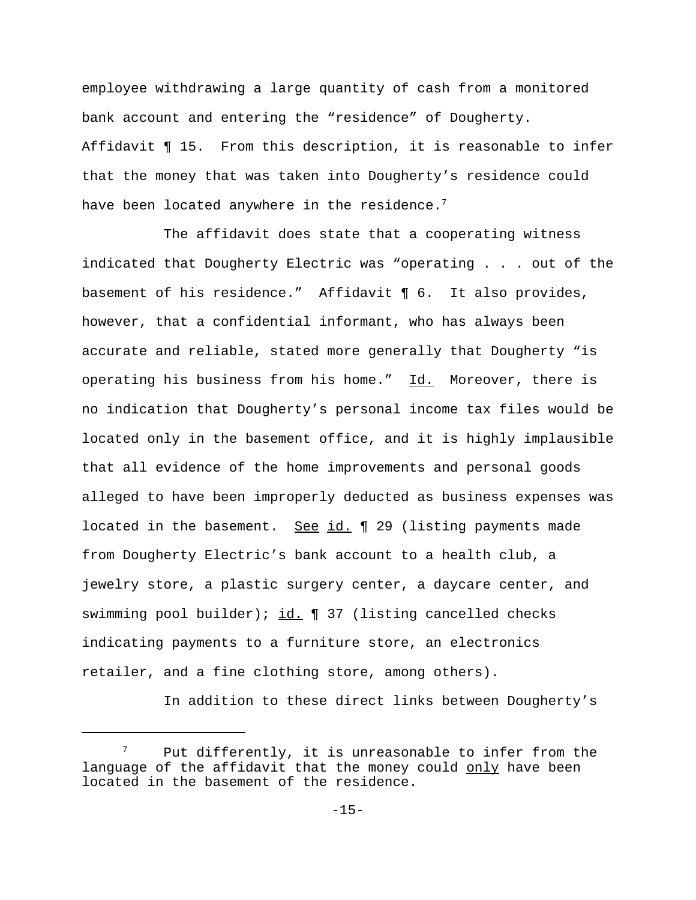employee withdrawing a large quantity of cash from a monitored bank account and entering the "residence" of Dougherty. Affidavit ¶ 15. From this description, it is reasonable to infer that the money that was taken into Dougherty's residence could have been located anywhere in the residence.<sup>7</sup>

The affidavit does state that a cooperating witness indicated that Dougherty Electric was "operating . . . out of the basement of his residence." Affidavit ¶ 6. It also provides, however, that a confidential informant, who has always been accurate and reliable, stated more generally that Dougherty "is operating his business from his home." Id. Moreover, there is no indication that Dougherty's personal income tax files would be located only in the basement office, and it is highly implausible that all evidence of the home improvements and personal goods alleged to have been improperly deducted as business expenses was located in the basement. See id. ¶ 29 (listing payments made from Dougherty Electric's bank account to a health club, a jewelry store, a plastic surgery center, a daycare center, and swimming pool builder); id.  $\P$  37 (listing cancelled checks indicating payments to a furniture store, an electronics retailer, and a fine clothing store, among others).

In addition to these direct links between Dougherty's

 $7$  Put differently, it is unreasonable to infer from the language of the affidavit that the money could only have been located in the basement of the residence.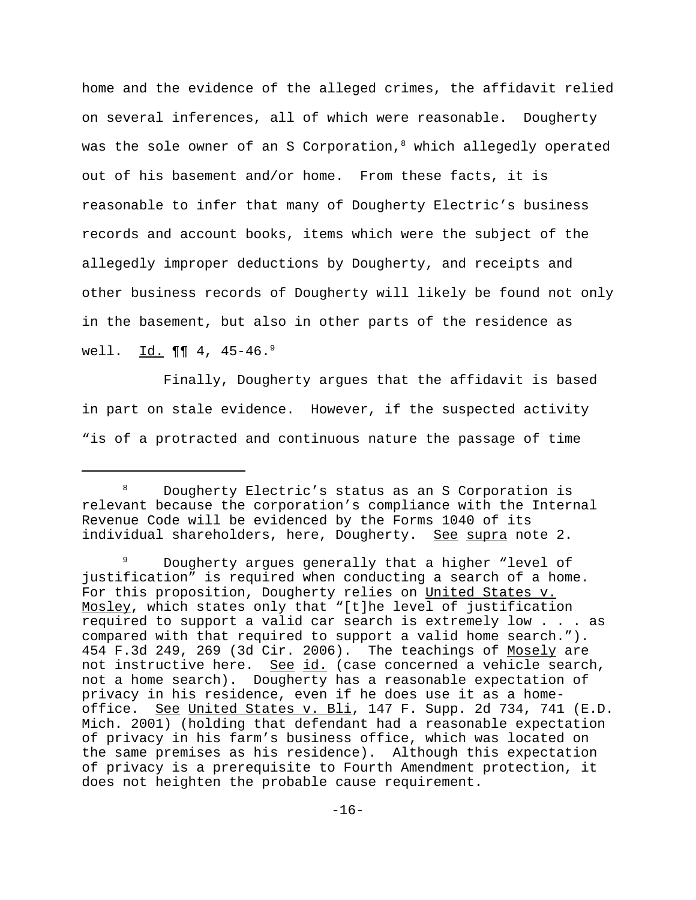home and the evidence of the alleged crimes, the affidavit relied on several inferences, all of which were reasonable. Dougherty was the sole owner of an S Corporation, $8$  which allegedly operated out of his basement and/or home. From these facts, it is reasonable to infer that many of Dougherty Electric's business records and account books, items which were the subject of the allegedly improper deductions by Dougherty, and receipts and other business records of Dougherty will likely be found not only in the basement, but also in other parts of the residence as well.  $\underline{Id.}$  ¶¶ 4, 45-46.<sup>9</sup>

Finally, Dougherty argues that the affidavit is based in part on stale evidence. However, if the suspected activity "is of a protracted and continuous nature the passage of time

<sup>8</sup> Dougherty Electric's status as an S Corporation is relevant because the corporation's compliance with the Internal Revenue Code will be evidenced by the Forms 1040 of its individual shareholders, here, Dougherty. See supra note 2.

<sup>&</sup>lt;sup>9</sup> Dougherty argues generally that a higher "level of justification" is required when conducting a search of a home. For this proposition, Dougherty relies on United States v. Mosley, which states only that "[t]he level of justification required to support a valid car search is extremely low . . . as compared with that required to support a valid home search."). 454 F.3d 249, 269 (3d Cir. 2006). The teachings of Mosely are not instructive here. See id. (case concerned a vehicle search, not a home search). Dougherty has a reasonable expectation of privacy in his residence, even if he does use it as a homeoffice. See United States v. Bli, 147 F. Supp. 2d 734, 741 (E.D. Mich. 2001) (holding that defendant had a reasonable expectation of privacy in his farm's business office, which was located on the same premises as his residence). Although this expectation of privacy is a prerequisite to Fourth Amendment protection, it does not heighten the probable cause requirement.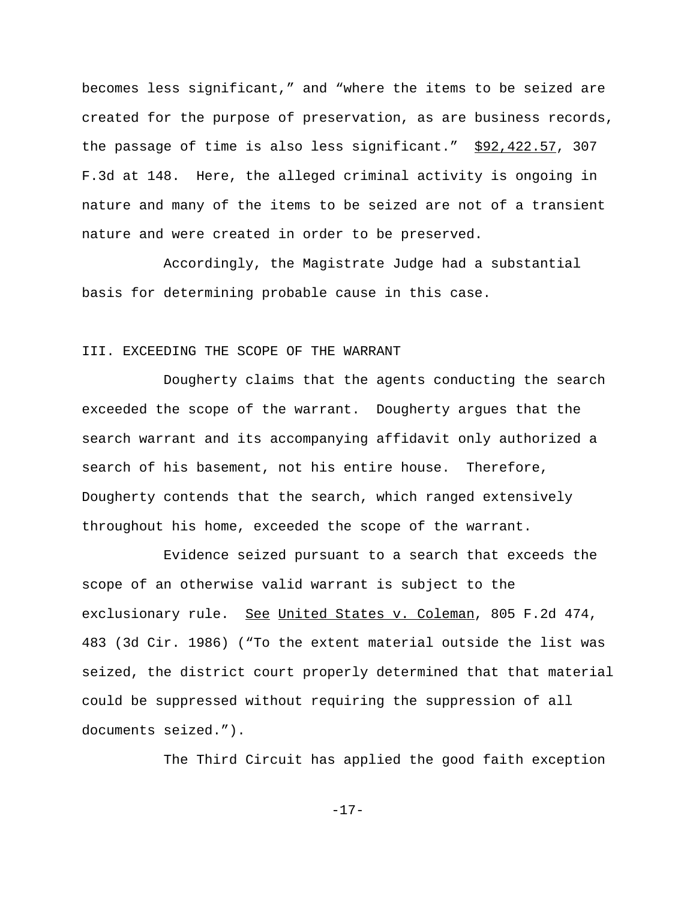becomes less significant," and "where the items to be seized are created for the purpose of preservation, as are business records, the passage of time is also less significant." \$92,422.57, 307 F.3d at 148. Here, the alleged criminal activity is ongoing in nature and many of the items to be seized are not of a transient nature and were created in order to be preserved.

Accordingly, the Magistrate Judge had a substantial basis for determining probable cause in this case.

#### III. EXCEEDING THE SCOPE OF THE WARRANT

Dougherty claims that the agents conducting the search exceeded the scope of the warrant. Dougherty argues that the search warrant and its accompanying affidavit only authorized a search of his basement, not his entire house. Therefore, Dougherty contends that the search, which ranged extensively throughout his home, exceeded the scope of the warrant.

Evidence seized pursuant to a search that exceeds the scope of an otherwise valid warrant is subject to the exclusionary rule. See United States v. Coleman, 805 F.2d 474, 483 (3d Cir. 1986) ("To the extent material outside the list was seized, the district court properly determined that that material could be suppressed without requiring the suppression of all documents seized.").

The Third Circuit has applied the good faith exception

-17-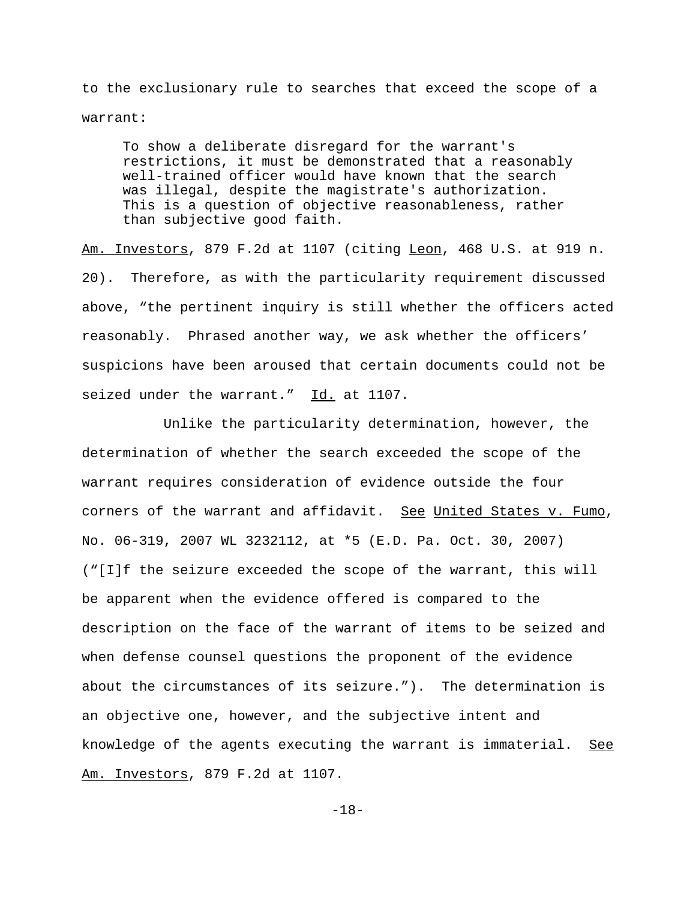to the exclusionary rule to searches that exceed the scope of a warrant:

To show a deliberate disregard for the warrant's restrictions, it must be demonstrated that a reasonably well-trained officer would have known that the search was illegal, despite the magistrate's authorization. This is a question of objective reasonableness, rather than subjective good faith.

Am. Investors, 879 F.2d at 1107 (citing Leon, 468 U.S. at 919 n. 20). Therefore, as with the particularity requirement discussed above, "the pertinent inquiry is still whether the officers acted reasonably. Phrased another way, we ask whether the officers' suspicions have been aroused that certain documents could not be seized under the warrant." Id. at 1107.

Unlike the particularity determination, however, the determination of whether the search exceeded the scope of the warrant requires consideration of evidence outside the four corners of the warrant and affidavit. See United States v. Fumo, No. 06-319, 2007 WL 3232112, at \*5 (E.D. Pa. Oct. 30, 2007) ("[I]f the seizure exceeded the scope of the warrant, this will be apparent when the evidence offered is compared to the description on the face of the warrant of items to be seized and when defense counsel questions the proponent of the evidence about the circumstances of its seizure."). The determination is an objective one, however, and the subjective intent and knowledge of the agents executing the warrant is immaterial. See Am. Investors, 879 F.2d at 1107.

-18-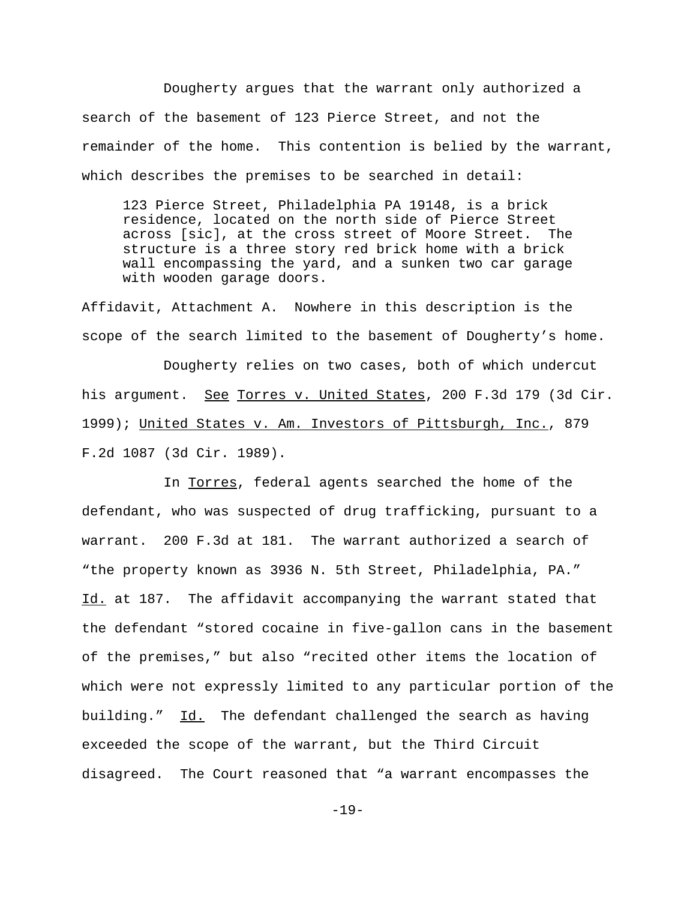Dougherty argues that the warrant only authorized a search of the basement of 123 Pierce Street, and not the remainder of the home. This contention is belied by the warrant, which describes the premises to be searched in detail:

123 Pierce Street, Philadelphia PA 19148, is a brick residence, located on the north side of Pierce Street across [sic], at the cross street of Moore Street. The structure is a three story red brick home with a brick wall encompassing the yard, and a sunken two car garage with wooden garage doors.

Affidavit, Attachment A. Nowhere in this description is the scope of the search limited to the basement of Dougherty's home.

Dougherty relies on two cases, both of which undercut his argument. See Torres v. United States, 200 F.3d 179 (3d Cir. 1999); United States v. Am. Investors of Pittsburgh, Inc., 879 F.2d 1087 (3d Cir. 1989).

In Torres, federal agents searched the home of the defendant, who was suspected of drug trafficking, pursuant to a warrant. 200 F.3d at 181. The warrant authorized a search of "the property known as 3936 N. 5th Street, Philadelphia, PA." Id. at 187. The affidavit accompanying the warrant stated that the defendant "stored cocaine in five-gallon cans in the basement of the premises," but also "recited other items the location of which were not expressly limited to any particular portion of the building." Id. The defendant challenged the search as having exceeded the scope of the warrant, but the Third Circuit disagreed. The Court reasoned that "a warrant encompasses the

-19-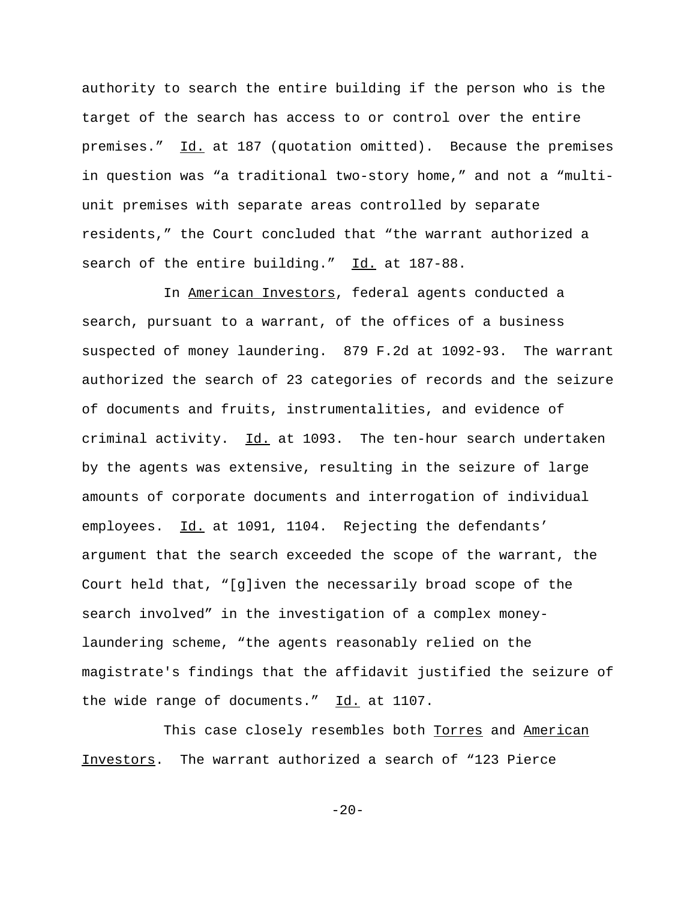authority to search the entire building if the person who is the target of the search has access to or control over the entire premises." Id. at 187 (quotation omitted). Because the premises in question was "a traditional two-story home," and not a "multiunit premises with separate areas controlled by separate residents," the Court concluded that "the warrant authorized a search of the entire building." Id. at 187-88.

In American Investors, federal agents conducted a search, pursuant to a warrant, of the offices of a business suspected of money laundering. 879 F.2d at 1092-93. The warrant authorized the search of 23 categories of records and the seizure of documents and fruits, instrumentalities, and evidence of criminal activity. Id. at 1093. The ten-hour search undertaken by the agents was extensive, resulting in the seizure of large amounts of corporate documents and interrogation of individual employees. Id. at 1091, 1104. Rejecting the defendants' argument that the search exceeded the scope of the warrant, the Court held that, "[g]iven the necessarily broad scope of the search involved" in the investigation of a complex moneylaundering scheme, "the agents reasonably relied on the magistrate's findings that the affidavit justified the seizure of the wide range of documents."  $Id.$  at 1107.

This case closely resembles both Torres and American Investors. The warrant authorized a search of "123 Pierce

 $-20-$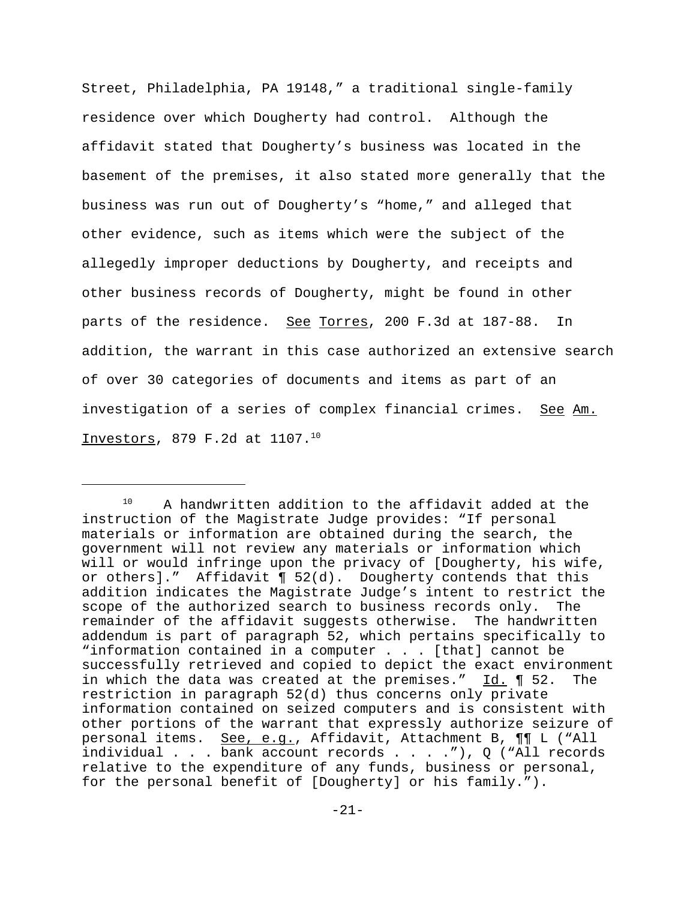Street, Philadelphia, PA 19148," a traditional single-family residence over which Dougherty had control. Although the affidavit stated that Dougherty's business was located in the basement of the premises, it also stated more generally that the business was run out of Dougherty's "home," and alleged that other evidence, such as items which were the subject of the allegedly improper deductions by Dougherty, and receipts and other business records of Dougherty, might be found in other parts of the residence. See Torres, 200 F.3d at 187-88. In addition, the warrant in this case authorized an extensive search of over 30 categories of documents and items as part of an investigation of a series of complex financial crimes. See Am. Investors, 879 F.2d at 1107.10

<sup>&</sup>lt;sup>10</sup> A handwritten addition to the affidavit added at the instruction of the Magistrate Judge provides: "If personal materials or information are obtained during the search, the government will not review any materials or information which will or would infringe upon the privacy of [Dougherty, his wife, or others]." Affidavit  $\P$  52(d). Dougherty contends that this addition indicates the Magistrate Judge's intent to restrict the scope of the authorized search to business records only. The remainder of the affidavit suggests otherwise. The handwritten addendum is part of paragraph 52, which pertains specifically to "information contained in a computer . . . [that] cannot be successfully retrieved and copied to depict the exact environment in which the data was created at the premises." Id. ¶ 52. The restriction in paragraph 52(d) thus concerns only private information contained on seized computers and is consistent with other portions of the warrant that expressly authorize seizure of personal items. See, e.g., Affidavit, Attachment B,  $\P\P$  L ("All individual . . . bank account records . . . ."), Q ("All records relative to the expenditure of any funds, business or personal, for the personal benefit of [Dougherty] or his family.").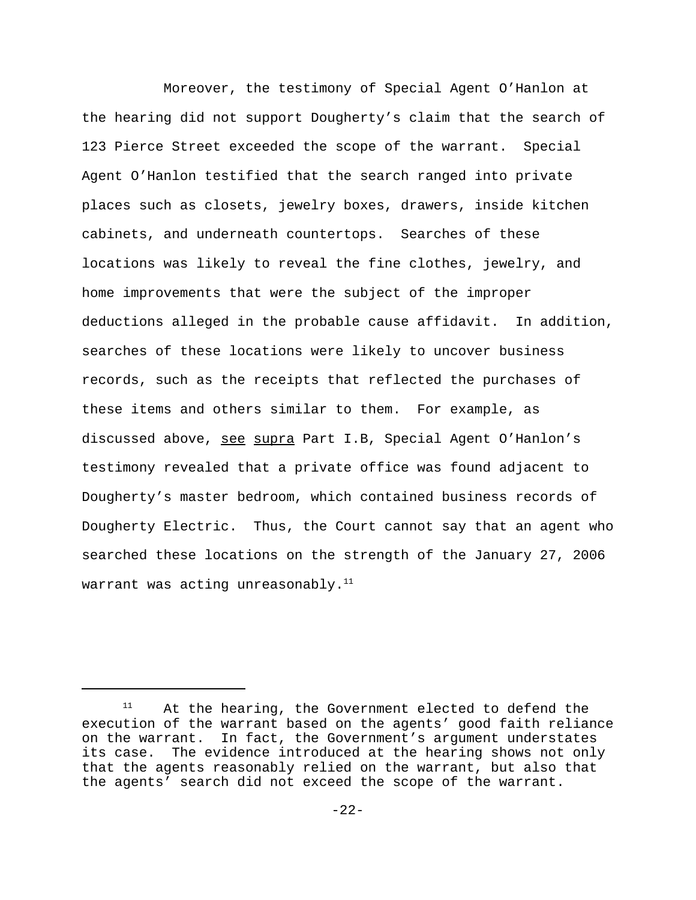Moreover, the testimony of Special Agent O'Hanlon at the hearing did not support Dougherty's claim that the search of 123 Pierce Street exceeded the scope of the warrant. Special Agent O'Hanlon testified that the search ranged into private places such as closets, jewelry boxes, drawers, inside kitchen cabinets, and underneath countertops. Searches of these locations was likely to reveal the fine clothes, jewelry, and home improvements that were the subject of the improper deductions alleged in the probable cause affidavit. In addition, searches of these locations were likely to uncover business records, such as the receipts that reflected the purchases of these items and others similar to them. For example, as discussed above, see supra Part I.B, Special Agent O'Hanlon's testimony revealed that a private office was found adjacent to Dougherty's master bedroom, which contained business records of Dougherty Electric. Thus, the Court cannot say that an agent who searched these locations on the strength of the January 27, 2006 warrant was acting unreasonably. $11$ 

<sup>&</sup>lt;sup>11</sup> At the hearing, the Government elected to defend the execution of the warrant based on the agents' good faith reliance on the warrant. In fact, the Government's argument understates its case. The evidence introduced at the hearing shows not only that the agents reasonably relied on the warrant, but also that the agents' search did not exceed the scope of the warrant.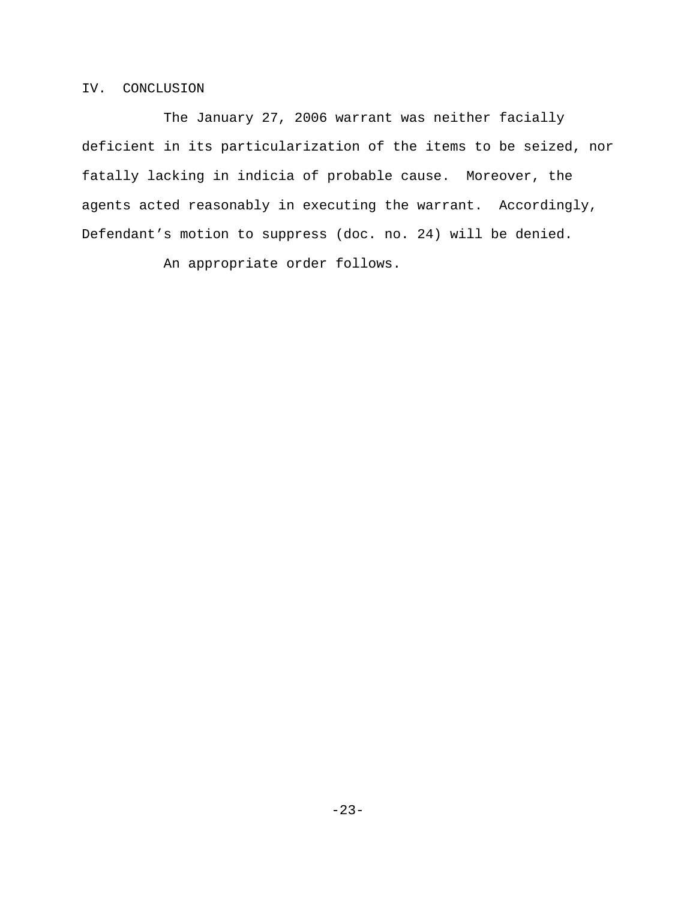## IV. CONCLUSION

The January 27, 2006 warrant was neither facially deficient in its particularization of the items to be seized, nor fatally lacking in indicia of probable cause. Moreover, the agents acted reasonably in executing the warrant. Accordingly, Defendant's motion to suppress (doc. no. 24) will be denied.

An appropriate order follows.